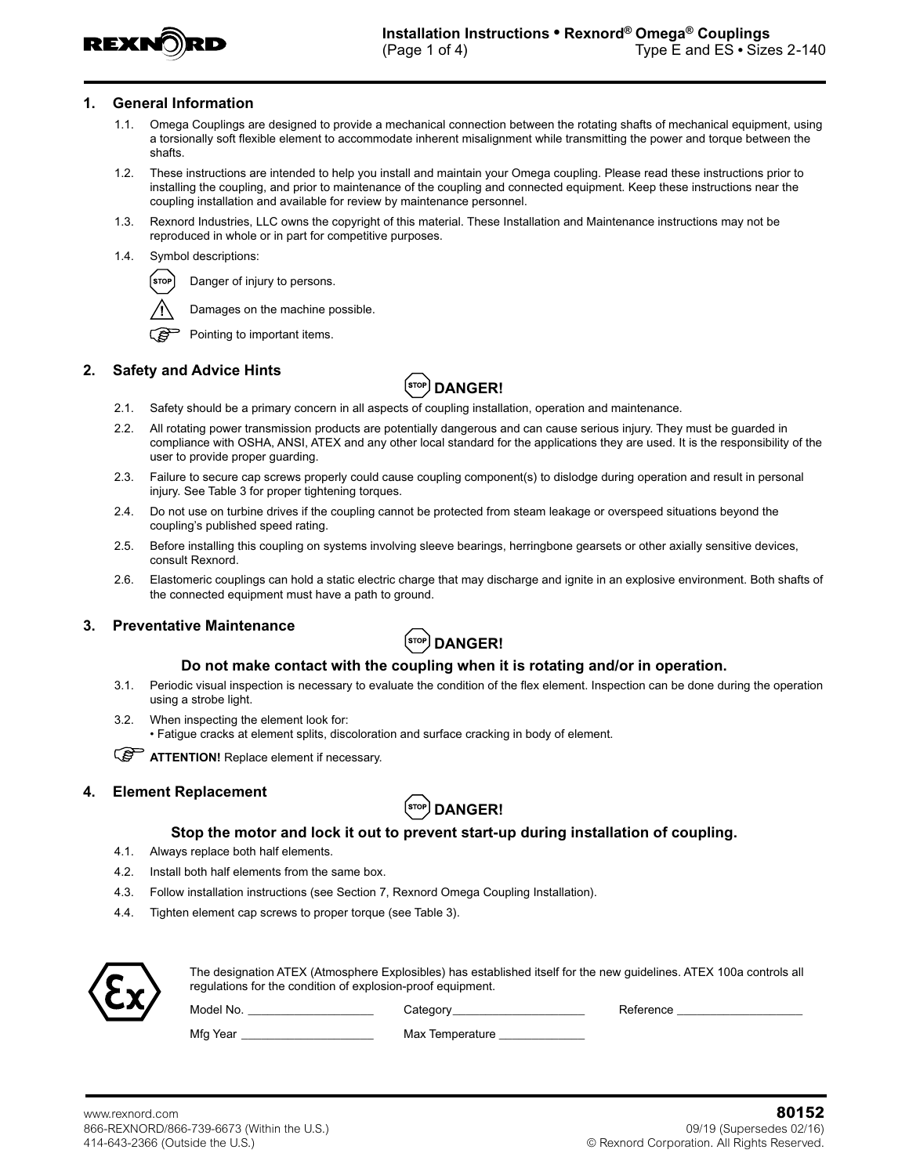

#### **1. General Information**

- 1.1. Omega Couplings are designed to provide a mechanical connection between the rotating shafts of mechanical equipment, using a torsionally soft flexible element to accommodate inherent misalignment while transmitting the power and torque between the shafts.
- 1.2. These instructions are intended to help you install and maintain your Omega coupling. Please read these instructions prior to installing the coupling, and prior to maintenance of the coupling and connected equipment. Keep these instructions near the coupling installation and available for review by maintenance personnel.
- 1.3. Rexnord Industries, LLC owns the copyright of this material. These Installation and Maintenance instructions may not be reproduced in whole or in part for competitive purposes.
- 1.4. Symbol descriptions:



Damages on the machine possible.



## **2. Safety and Advice Hints**



- 2.1. Safety should be a primary concern in all aspects of coupling installation, operation and maintenance.
- 2.2. All rotating power transmission products are potentially dangerous and can cause serious injury. They must be guarded in compliance with OSHA, ANSI, ATEX and any other local standard for the applications they are used. It is the responsibility of the user to provide proper guarding.
- 2.3. Failure to secure cap screws properly could cause coupling component(s) to dislodge during operation and result in personal injury. See Table 3 for proper tightening torques.
- 2.4. Do not use on turbine drives if the coupling cannot be protected from steam leakage or overspeed situations beyond the coupling's published speed rating.
- 2.5. Before installing this coupling on systems involving sleeve bearings, herringbone gearsets or other axially sensitive devices, consult Rexnord.
- 2.6. Elastomeric couplings can hold a static electric charge that may discharge and ignite in an explosive environment. Both shafts of the connected equipment must have a path to ground.

## **3. Preventative Maintenance**



#### **Do not make contact with the coupling when it is rotating and/or in operation.**

- 3.1. Periodic visual inspection is necessary to evaluate the condition of the flex element. Inspection can be done during the operation using a strobe light.
- 3.2. When inspecting the element look for: • Fatigue cracks at element splits, discoloration and surface cracking in body of element.

*<u>CO</u>* ATTENTION! Replace element if necessary.

## **4. Element Replacement**



## **Stop the motor and lock it out to prevent start-up during installation of coupling.**

- 4.1. Always replace both half elements.
- 4.2. Install both half elements from the same box.
- 4.3. Follow installation instructions (see Section 7, Rexnord Omega Coupling Installation).
- 4.4. Tighten element cap screws to proper torque (see Table 3).



The designation ATEX (Atmosphere Explosibles) has established itself for the new guidelines. ATEX 100a controls all regulations for the condition of explosion-proof equipment.

Model No. \_\_\_\_\_\_\_\_\_\_\_\_\_\_\_\_\_\_\_\_\_\_\_\_\_\_\_\_\_\_\_Category\_\_\_\_\_\_\_\_\_\_\_\_\_\_\_\_\_\_\_\_\_\_\_\_\_\_\_\_\_\_\_\_ Reference \_

Mfg Year \_\_\_\_\_\_\_\_\_\_\_\_\_\_\_\_\_\_\_\_\_\_\_\_\_\_\_\_\_\_\_\_\_\_\_ Max Temperature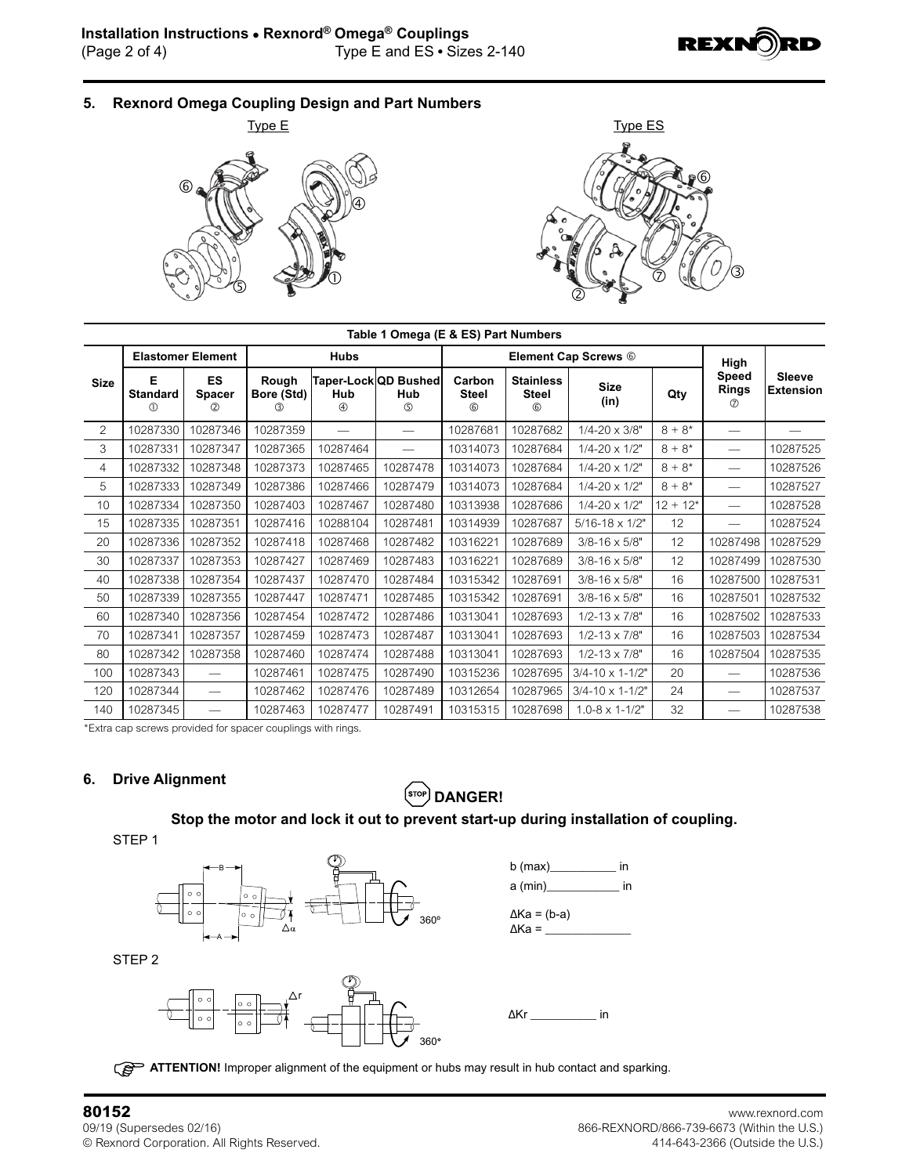

**5. Rexnord Omega Coupling Design and Part Numbers**





|             | Table 1 Omega (E & ES) Part Numbers |                                             |                            |                          |                                    |                             |                                                 |                             |            |                                             |                                   |  |  |  |
|-------------|-------------------------------------|---------------------------------------------|----------------------------|--------------------------|------------------------------------|-----------------------------|-------------------------------------------------|-----------------------------|------------|---------------------------------------------|-----------------------------------|--|--|--|
| <b>Size</b> | <b>Elastomer Element</b>            |                                             |                            | <b>Hubs</b>              |                                    |                             | <b>Element Cap Screws 6</b>                     | High                        |            |                                             |                                   |  |  |  |
|             | Е<br><b>Standard</b><br>⋒           | <b>ES</b><br><b>Spacer</b><br>$\circled{2}$ | Rough<br>Bore (Std)<br>(3) | Hub<br>$\circledA$       | Taper-Lock QD Bushed<br>Hub<br>(5) | Carbon<br><b>Steel</b><br>6 | <b>Stainless</b><br><b>Steel</b><br>$\circledS$ | <b>Size</b><br>(in)         | Qty        | <b>Speed</b><br><b>Rings</b><br>$\circled7$ | <b>Sleeve</b><br><b>Extension</b> |  |  |  |
| 2           | 10287330                            | 10287346                                    | 10287359                   | $\overline{\phantom{0}}$ |                                    | 10287681                    | 10287682                                        | $1/4 - 20 \times 3/8"$      | $8 + 8*$   | $\overline{\phantom{0}}$                    |                                   |  |  |  |
| 3           | 10287331                            | 10287347                                    | 10287365                   | 10287464                 |                                    | 10314073                    | 10287684                                        | $1/4 - 20 \times 1/2$ "     | $8 + 8*$   | $\overline{\phantom{0}}$                    | 10287525                          |  |  |  |
| 4           | 10287332                            | 10287348                                    | 10287373                   | 10287465                 | 10287478                           | 10314073                    | 10287684                                        | $1/4 - 20 \times 1/2$ "     | $8 + 8*$   | $\overline{\phantom{0}}$                    | 10287526                          |  |  |  |
| 5           | 10287333                            | 10287349                                    | 10287386                   | 10287466                 | 10287479                           | 10314073                    | 10287684                                        | $1/4 - 20 \times 1/2$ "     | $8 + 8*$   | $\overline{\phantom{0}}$                    | 10287527                          |  |  |  |
| 10          | 10287334                            | 10287350                                    | 10287403                   | 10287467                 | 10287480                           | 10313938                    | 10287686                                        | $1/4 - 20 \times 1/2$ "     | $12 + 12*$ | $\overline{\phantom{0}}$                    | 10287528                          |  |  |  |
| 15          | 10287335                            | 10287351                                    | 10287416                   | 10288104                 | 10287481                           | 10314939                    | 10287687                                        | $5/16 - 18 \times 1/2$ "    | 12         | $\overline{\phantom{0}}$                    | 10287524                          |  |  |  |
| 20          | 10287336                            | 10287352                                    | 10287418                   | 10287468                 | 10287482                           | 10316221                    | 10287689                                        | $3/8 - 16 \times 5/8$ "     | 12         | 10287498                                    | 10287529                          |  |  |  |
| 30          | 10287337                            | 10287353                                    | 10287427                   | 10287469                 | 10287483                           | 10316221                    | 10287689                                        | $3/8 - 16 \times 5/8$ "     | 12         | 10287499                                    | 10287530                          |  |  |  |
| 40          | 10287338                            | 10287354                                    | 10287437                   | 10287470                 | 10287484                           | 10315342                    | 10287691                                        | $3/8 - 16 \times 5/8$ "     | 16         | 10287500                                    | 10287531                          |  |  |  |
| 50          | 10287339                            | 10287355                                    | 10287447                   | 10287471                 | 10287485                           | 10315342                    | 10287691                                        | $3/8 - 16 \times 5/8$ "     | 16         | 10287501                                    | 10287532                          |  |  |  |
| 60          | 10287340                            | 10287356                                    | 10287454                   | 10287472                 | 10287486                           | 10313041                    | 10287693                                        | $1/2 - 13 \times 7/8"$      | 16         | 10287502                                    | 10287533                          |  |  |  |
| 70          | 10287341                            | 10287357                                    | 10287459                   | 10287473                 | 10287487                           | 10313041                    | 10287693                                        | $1/2 - 13 \times 7/8$ "     | 16         | 10287503                                    | 10287534                          |  |  |  |
| 80          | 10287342                            | 10287358                                    | 10287460                   | 10287474                 | 10287488                           | 10313041                    | 10287693                                        | $1/2 - 13 \times 7/8$ "     | 16         | 10287504                                    | 10287535                          |  |  |  |
| 100         | 10287343                            |                                             | 10287461                   | 10287475                 | 10287490                           | 10315236                    | 10287695                                        | $3/4 - 10 \times 1 - 1/2$ " | 20         |                                             | 10287536                          |  |  |  |
| 120         | 10287344                            | $\hspace{0.1mm}-\hspace{0.1mm}$             | 10287462                   | 10287476                 | 10287489                           | 10312654                    | 10287965                                        | $3/4 - 10 \times 1 - 1/2$ " | 24         | $\qquad \qquad$                             | 10287537                          |  |  |  |
| 140         | 10287345                            | $\overline{\phantom{m}}$                    | 10287463                   | 10287477                 | 10287491                           | 10315315                    | 10287698                                        | $1.0 - 8 \times 1 - 1/2"$   | 32         |                                             | 10287538                          |  |  |  |

\*Extra cap screws provided for spacer couplings with rings.

## **6. Drive Alignment**

# $\left($ STOP) DANGER!

# **Stop the motor and lock it out to prevent start-up during installation of coupling.**

STEP 1



STEP 2



b (max)\_\_\_\_\_\_\_\_\_\_ in a (min)\_\_\_\_\_\_\_\_\_\_\_ in ∆Ka = (b-a)  $\Delta$ Ka =  $\frac{1}{\sqrt{2\pi}}$ 

∆Kr \_\_\_\_\_\_\_\_\_\_ in

**ATTENTION!** Improper alignment of the equipment or hubs may result in hub contact and sparking.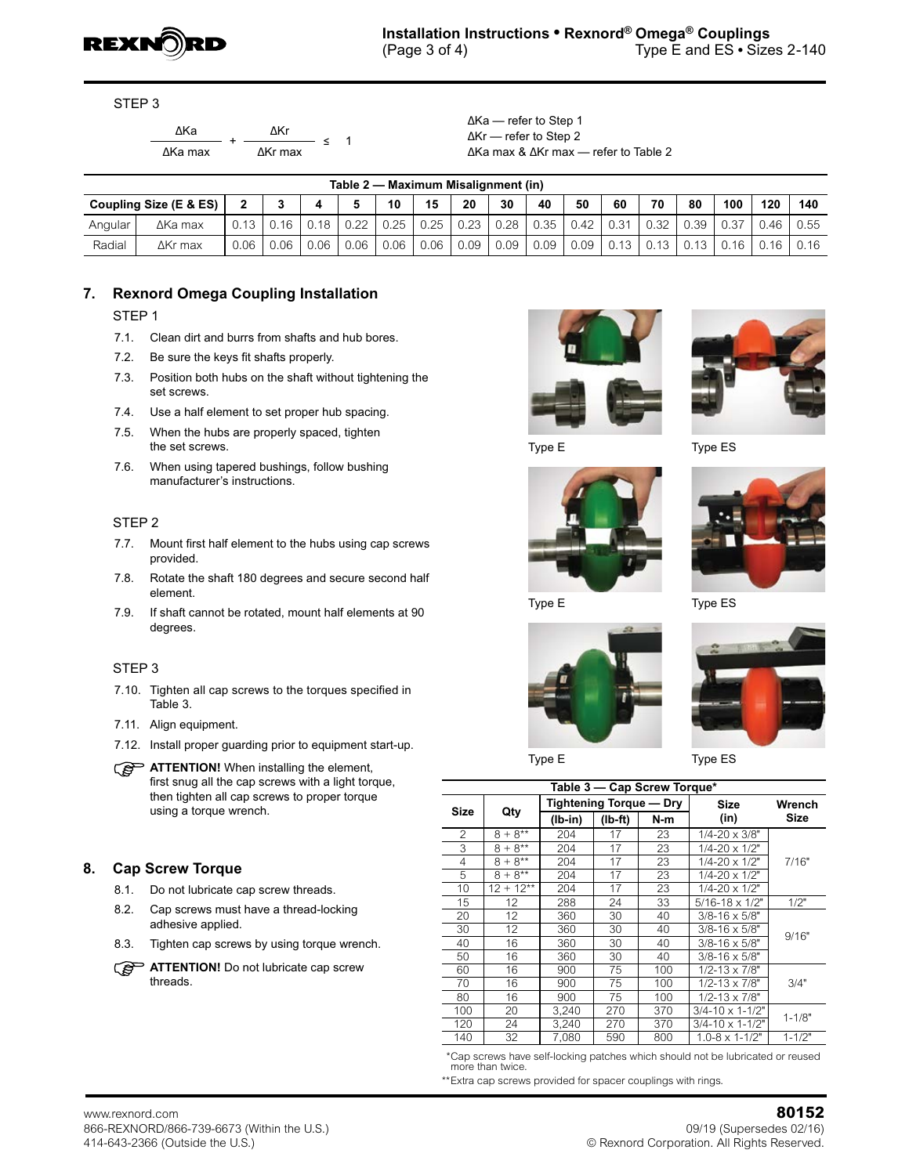

STEP 3

 $\frac{\Delta Ka}{\Delta a \text{ max}}$  +  $\frac{\Delta Kr}{\Delta Kr \text{ max}}$ ∆Ka max ∆Kr max

≤ 1

∆Ka — refer to Step 1 ∆Kr — refer to Step 2 ∆Ka max & ∆Kr max — refer to Table 2

|                        | Table 2 — Maximum Misalignment (in) |          |      |      |      |      |      |      |      |      |      |      |      |      |      |      |      |
|------------------------|-------------------------------------|----------|------|------|------|------|------|------|------|------|------|------|------|------|------|------|------|
| Coupling Size (E & ES) |                                     |          | ◠    |      |      | 10   | 15   | 20   | 30   | 40   | 50   | 60   | 70   | 80   | 100  | 120  | 140  |
| Angular                | ∆Ka max                             | $0.13 -$ | 0.16 | 0.18 | 0.22 | 0.25 | 0.25 | 0.23 | 0.28 | 0.35 | 0.42 | 0.31 | 0.32 | J.39 | 0.37 | 0.46 | 0.55 |
| Radial                 | $\Delta$ Kr max                     | .06      | 0.06 | 0.06 | 0.06 | 0.06 | 0.06 | 0.09 | 0.09 | 0.09 | 0.09 | 0.13 | 0.13 | 0.13 | 0.16 | 0.16 | 0.16 |

# **7. Rexnord Omega Coupling Installation**

## STEP 1

- 7.1. Clean dirt and burrs from shafts and hub bores.
- 7.2. Be sure the keys fit shafts properly.
- 7.3. Position both hubs on the shaft without tightening the set screws.
- 7.4. Use a half element to set proper hub spacing.
- 7.5. When the hubs are properly spaced, tighten the set screws.
- 7.6. When using tapered bushings, follow bushing manufacturer's instructions.

## STEP 2

- 7.7. Mount first half element to the hubs using cap screws provided.
- 7.8. Rotate the shaft 180 degrees and secure second half element.
- 7.9. If shaft cannot be rotated, mount half elements at 90 degrees.

## STEP 3

- 7.10. Tighten all cap screws to the torques specified in Table 3.
- 7.11. Align equipment.
- 7.12. Install proper guarding prior to equipment start-up.

**ATTENTION!** When installing the element, first snug all the cap screws with a light torque, then tighten all cap screws to proper torque using a torque wrench.

## **8. Cap Screw Torque**

- 8.1. Do not lubricate cap screw threads.
- 8.2. Cap screws must have a thread-locking adhesive applied.
- 8.3. Tighten cap screws by using torque wrench.











Type E Type ES



| Table 3 - Cap Screw Torque* |                   |                                |     |     |                             |            |  |  |  |  |  |
|-----------------------------|-------------------|--------------------------------|-----|-----|-----------------------------|------------|--|--|--|--|--|
| <b>Size</b>                 |                   | <b>Tightening Torque - Dry</b> |     |     | Size                        | Wrench     |  |  |  |  |  |
|                             | Qty               | $(Ib-in)$<br>$(Ib-ft)$         |     | N-m | (in)                        | Size       |  |  |  |  |  |
| $\mathfrak{p}$              | $8 + 8^{**}$      | 204                            | 17  | 23  | $1/4 - 20 \times 3/8"$      |            |  |  |  |  |  |
| 3                           | $8 + 8^{**}$      | 204                            | 17  | 23  | $1/4 - 20 \times 1/2$ "     |            |  |  |  |  |  |
| 4                           | $8 + 8^{**}$      | 204                            | 17  | 23  | $1/4 - 20 \times 1/2$ "     | 7/16"      |  |  |  |  |  |
| 5                           | $8 + 8^{**}$      | 204                            | 17  | 23  | $1/4 - 20 \times 1/2"$      |            |  |  |  |  |  |
| 10                          | $12 + 12**$       | 204                            | 17  | 23  | $1/4 - 20 \times 1/2$ "     |            |  |  |  |  |  |
| 15                          | $12 \overline{ }$ | 288                            | 24  | 33  | $5/16 - 18 \times 1/2$ "    | 1/2"       |  |  |  |  |  |
| 20                          | 12                | 360                            | 30  | 40  | $3/8 - 16 \times 5/8"$      |            |  |  |  |  |  |
| 30                          | 12                | 360                            | 30  | 40  | $3/8 - 16 \times 5/8"$      | 9/16"      |  |  |  |  |  |
| 40                          | 16                | 360                            | 30  | 40  | $3/8 - 16 \times 5/8"$      |            |  |  |  |  |  |
| 50                          | 16                | 360                            | 30  | 40  | $3/8 - 16 \times 5/8$ "     |            |  |  |  |  |  |
| 60                          | 16                | 900                            | 75  | 100 | $1/2 - 13 \times 7/8$ "     |            |  |  |  |  |  |
| 70                          | 16                | 900                            | 75  | 100 | $1/2 - 13 \times 7/8$ "     | 3/4"       |  |  |  |  |  |
| 80                          | 16                | 900                            | 75  | 100 | $1/2 - 13 \times 7/8"$      |            |  |  |  |  |  |
| 100                         | 20                | 3.240                          | 270 | 370 | $3/4 - 10 \times 1 - 1/2$ " | $1 - 1/8"$ |  |  |  |  |  |
| 120                         | 24<br>3,240       |                                | 270 | 370 | $3/4 - 10 \times 1 - 1/2$ " |            |  |  |  |  |  |
| 140                         | 32                | 7.080                          | 590 | 800 | $1.0 - 8 \times 1 - 1/2$ "  | $1 - 1/2"$ |  |  |  |  |  |

 \*Cap screws have self-locking patches which should not be lubricated or reused more than twice.

\*\*Extra cap screws provided for spacer couplings with rings.

Type E Type ES